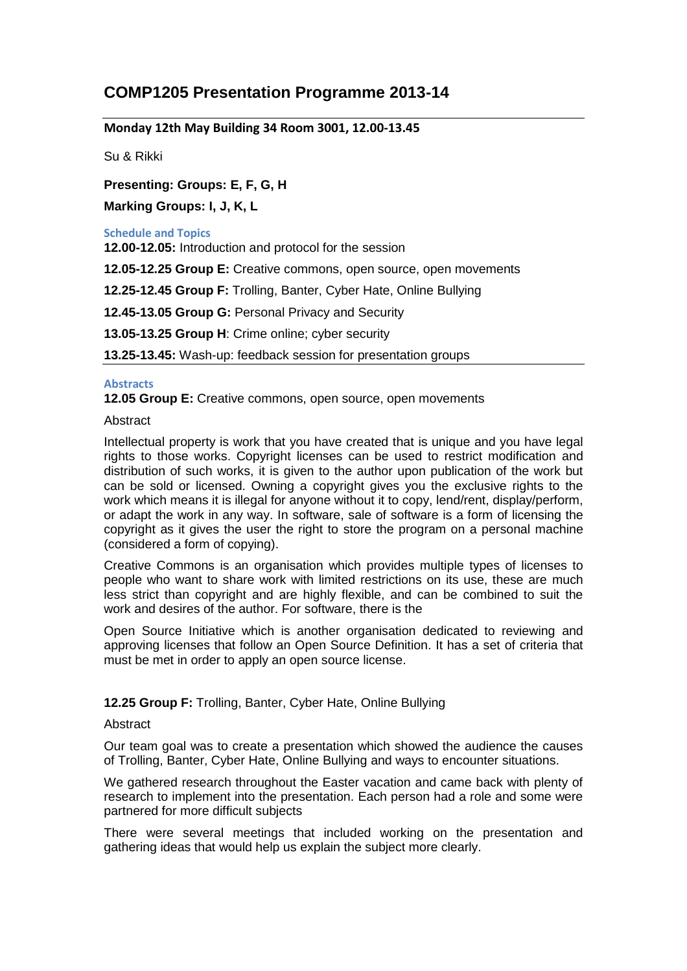# **COMP1205 Presentation Programme 2013-14**

# **Monday 12th May Building 34 Room 3001, 12.00-13.45**

Su & Rikki

# **Presenting: Groups: E, F, G, H**

**Marking Groups: I, J, K, L**

#### **Schedule and Topics**

**12.00-12.05:** Introduction and protocol for the session

**12.05-12.25 Group E:** Creative commons, open source, open movements

**12.25-12.45 Group F:** Trolling, Banter, Cyber Hate, Online Bullying

**12.45-13.05 Group G:** Personal Privacy and Security

**13.05-13.25 Group H**: Crime online; cyber security

**13.25-13.45:** Wash-up: feedback session for presentation groups

## **Abstracts**

**12.05 Group E:** Creative commons, open source, open movements

# Abstract

Intellectual property is work that you have created that is unique and you have legal rights to those works. Copyright licenses can be used to restrict modification and distribution of such works, it is given to the author upon publication of the work but can be sold or licensed. Owning a copyright gives you the exclusive rights to the work which means it is illegal for anyone without it to copy, lend/rent, display/perform, or adapt the work in any way. In software, sale of software is a form of licensing the copyright as it gives the user the right to store the program on a personal machine (considered a form of copying).

Creative Commons is an organisation which provides multiple types of licenses to people who want to share work with limited restrictions on its use, these are much less strict than copyright and are highly flexible, and can be combined to suit the work and desires of the author. For software, there is the

Open Source Initiative which is another organisation dedicated to reviewing and approving licenses that follow an Open Source Definition. It has a set of criteria that must be met in order to apply an open source license.

# **12.25 Group F:** Trolling, Banter, Cyber Hate, Online Bullying

## **Abstract**

Our team goal was to create a presentation which showed the audience the causes of Trolling, Banter, Cyber Hate, Online Bullying and ways to encounter situations.

We gathered research throughout the Easter vacation and came back with plenty of research to implement into the presentation. Each person had a role and some were partnered for more difficult subjects

There were several meetings that included working on the presentation and gathering ideas that would help us explain the subject more clearly.